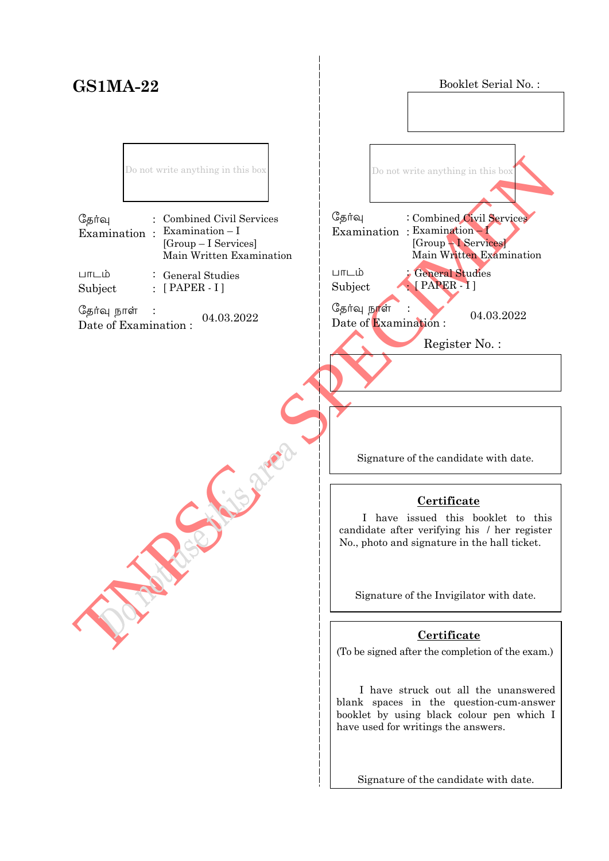# **GS1MA-22**

Booklet Serial No. :

Do not write anything in this box

| தேர்வு | : Combined Civil Services                                                         |
|--------|-----------------------------------------------------------------------------------|
|        | Examination : Examination-I<br>$[Group-I\; Services]$<br>Main Written Examination |
| பாடம்  | $\therefore$ General Studies                                                      |

Subject :  $\colon$  [ PAPER - I ]

தேர்வு நாள்  $\frac{C_{\frac{1}{2}}}{\frac{1}{2}}$   $\frac{C_{\frac{1}{2}}}{\frac{1}{2}}$   $\frac{C_{\frac{1}{2}}}{\frac{1}{2}}$   $\frac{C_{\frac{1}{2}}}{\frac{1}{2}}$   $\frac{C_{\frac{1}{2}}}{\frac{1}{2}}$   $\frac{C_{\frac{1}{2}}}{\frac{1}{2}}$   $\frac{C_{\frac{1}{2}}}{\frac{1}{2}}$   $\frac{C_{\frac{1}{2}}}{\frac{1}{2}}$   $\frac{C_{\frac{1}{2}}}{\frac{1}{2}}$   $\frac{C_{\frac{1}{2}}}{$ 

TNPSC - SPECIMEN தேர்வு Examination : Examination – I  $L$ m $L$ ம் Subject : Date of Examination :  $04.03.2022$ j Do not write anything in this box General Studies [ PAPER - I ] Combined Civil Services [Group – I Services] Main Written Examination Register No. :

Signature of the candidate with date.

## **Certificate**

 I have issued this booklet to this candidate after verifying his / her register No., photo and signature in the hall ticket.

Signature of the Invigilator with date.

## **Certificate**

(To be signed after the completion of the exam.)

 I have struck out all the unanswered blank spaces in the question-cum-answer booklet by using black colour pen which I have used for writings the answers.

Signature of the candidate with date.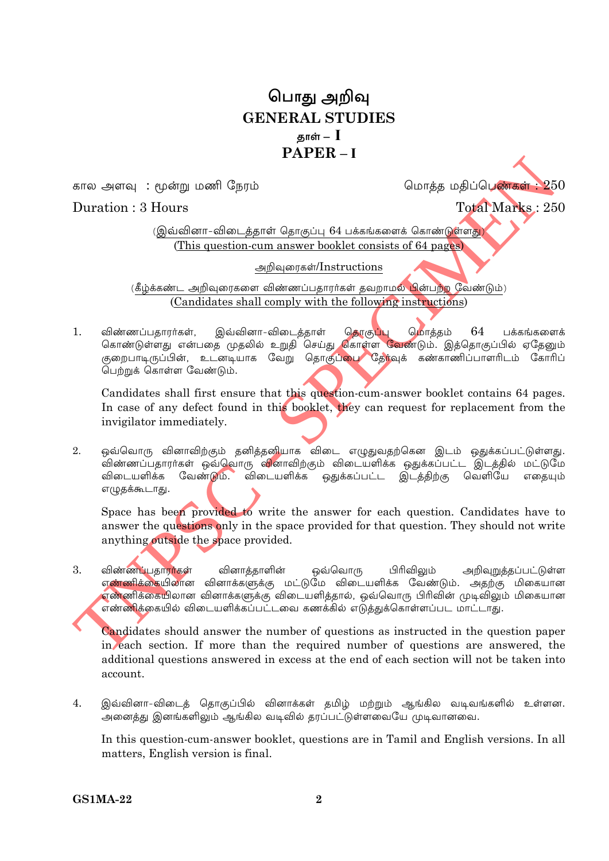## பொது அறிவு **GENERAL STUDIES** காள் —  $\,\mathbf{I}\,$  $\mathbf{PAPER}$  – I

கால அளவு : மூன்று மணி நேரம்

மொக்க மகிப்பெண்கள் : 250

## Duration: 3 Hours

**Total Marks: 250** 

(இவ்வினா-விடைத்தாள் தொகுப்பு 64 பக்கங்களைக் கொண்டுள்ளது) (This question-cum answer booklet consists of 64 pages)

அறிவுரைகள்/Instructions

(கீழ்க்கண்ட அறிவுரைகளை விண்ணப்பதாரர்கள் தவறாமல் <mark>பி</mark>ன்பற்ற வேண்டும்) (Candidates shall comply with the following instructions)

விண்ணப்பதாரர்கள், இவ்வினா-விடைத்தாள் தொகு<mark>ப்பு</mark> மொத்தம் 64 பக்கங்களைக்<br>கொண்டுள்ளது என்பதை முதலில் உறுதி செய்து கொள்ள வேண்டும். இத்தொகுப்பில் ஏதேனும்  $1<sub>1</sub>$ குறைபாடிருப்பின், உடனடியாக வேறு தொகுப்பை தேர்வுக் கண்காணிப்பாளரிடம் கோரிப் பெற்றுக் கொள்ள வேண்டும்.

Candidates shall first ensure that this question-cum-answer booklet contains 64 pages. In case of any defect found in this booklet, they can request for replacement from the invigilator immediately.

ஒவ்வொரு வினாவிற்கும் தனித்தனியாக விடை எழுதுவதற்கென இடம் ஒதுக்கப்பட்டுள்ளது.  $2<sub>1</sub>$ .<br>விண்ணப்பதாரா்கள் ஒவ்வொரு வினாவிற்கும் விடையளிக்க ஒதுக்கப்பட்ட இடத்தில் மட்டுமே <u>விடையளிக்க வேண்டும். விடையளிக்க ஒதுக்கப்பட்ட இடத்திற்கு வெளியே எதையும்</u> எழுதக்கூடாது.

Space has been provided to write the answer for each question. Candidates have to answer the questions only in the space provided for that question. They should not write anything outside the space provided.

விண்ணப்பதாராகள்  $3.$ வினாக்காளின் ஒவ்வொரு பிரிவிலும் அறிவுறுத்தப்பட்டுள்ள எண்ணிக்கையிலான வினாக்களுக்கு மட்டுமே விடையளிக்க வேண்டும். அதற்கு மிகையான எண்ணிக்கையிலான வினாக்களுக்கு விடையளித்தால், ஒவ்வொரு பிரிவின் முடிவிலும் மிகையான எண்ணிக்கையில் விடையளிக்கப்பட்டவை கணக்கில் எடுத்துக்கொள்ளப்பட மாட்டாது.

Candidates should answer the number of questions as instructed in the question paper in each section. If more than the required number of questions are answered, the additional questions answered in excess at the end of each section will not be taken into account.

 $\overline{4}$ . இவ்வினா-விடைக் கொகுப்பில் வினாக்கள் தமிழ் மற்றும் ஆங்கில வடிவங்களில் உள்ளன. .<br>அனைத்து இனங்களிலும் ஆங்கில வடிவில் தரப்பட்டுள்ளவையே முடிவானவை.

In this question-cum-answer booklet, questions are in Tamil and English versions. In all matters, English version is final.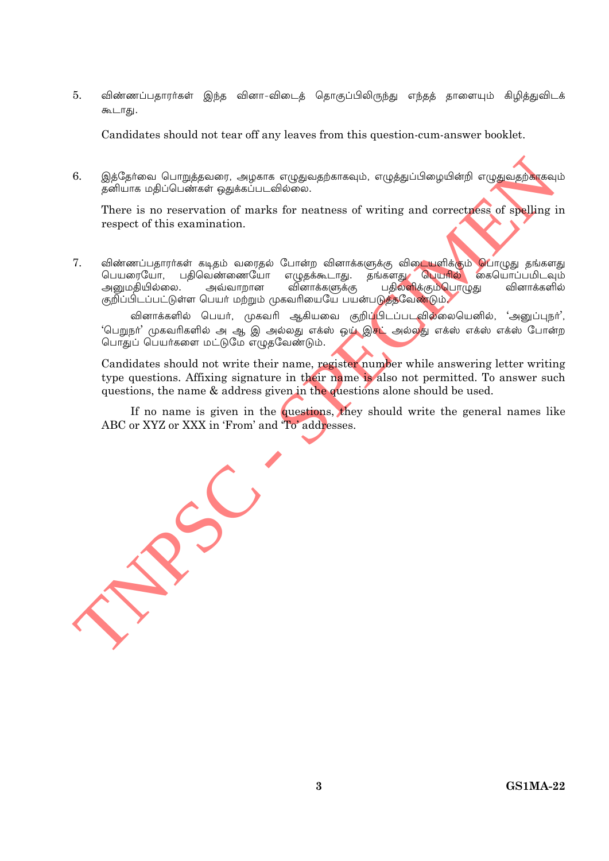$5<sub>1</sub>$ விண்ணப்பதாரர்கள் இந்த வினா-விடைத் தொகுப்பிலிருந்து எந்தத் தாளையும் கிழித்துவிடக் கூடாது.

Candidates should not tear off any leaves from this question-cum-answer booklet.

6. இத்தேர்வை பொறுத்தவரை, அழகாக எழுதுவதற்காகவும், எழுத்துப்பிழையின்றி எழுதுவதற்காகவும் தனியாக மதிப்பெண்கள் ஒதுக்கப்படவில்லை.

There is no reservation of marks for neatness of writing and correctness of spelling in respect of this examination.

7. விண்ணப்பதாரா்கள் கடிதம் வரைதல் போன்ற வினாக்களுக்கு விடையளிக்கும் **பொ**ழுது தங்களது பெயரையோ, பதிவெண்ணையோ எழுதக்கூடாது. தங்களது பெயரில் கையொப்பமிடவும் பதிலளிக்கும்பொழுது அனுமகியில்லை. அவ்வாறான வினாக்களுக்கு வினாக்களில் குறிப்பிடப்பட்டுள்ள பெயர் மற்றும் முகவரியையே பயன்படுத்தவேண்டும்.

வினாக்களில் பெயர், முகவரி ஆகியவை குறிப்<mark>பிடப்படவில்லையெனில், 'அனுப்புநர்'</mark>, 'பெறுநா' முகவரிகளில் அ ஆ இ அல்லது எக்ஸ் ஒ**ழ் இசட்** அல்லது எக்ஸ் எக்ஸ் எக்ஸ் போன்ற பொதுப் பெயர்களை மட்டுமே எழுதவேண்டும்.

Candidates should not write their name, register number while answering letter writing type questions. Affixing signature in their name is also not permitted. To answer such questions, the name & address given in the questions alone should be used.

If no name is given in the questions, they should write the general names like ABC or XYZ or XXX in 'From' and 'To' addresses.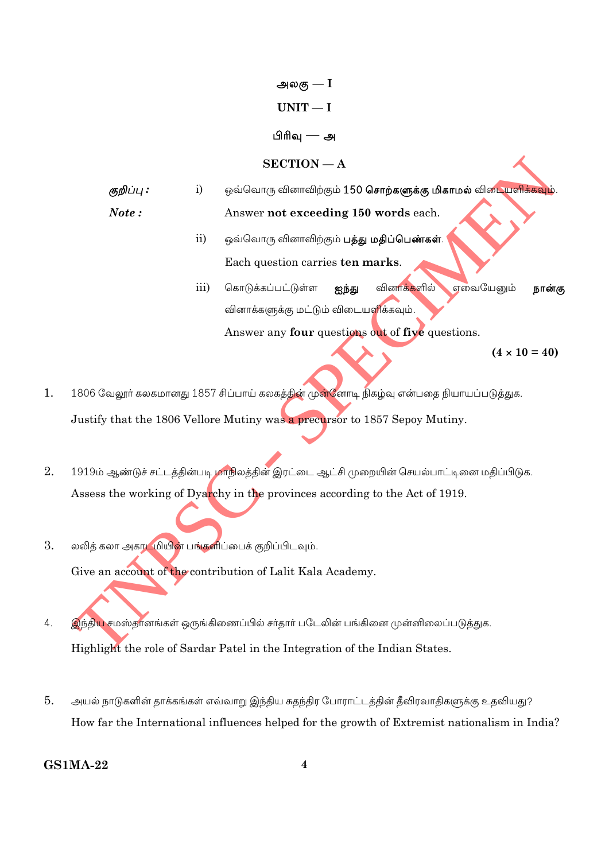அலகு —  $I$ 

## $UNIT-I$

## பிரிவு — அ

### $SECTION - A$

ஒவ்வொரு வினாவிற்கும் 150 **சொற்களுக்கு மிகாமல்** விடையளிக்கவும். குறிப்பு : i)

Note: Answer not exceeding 150 words each.

- $\mathbf{ii}$ ஒவ்வொரு வினாவிற்கும் **பத்து மதிப்பெண்கள்**. Each question carries ten marks.
- iii) கொடுக்கப்பட்டுள்ள ஐந்து வினாக்களில் எவையேனும் நான்கு வினாக்களுக்கு மட்டும் விடையளிக்கவும்.

Answer any four questions out of five questions.

 $(4 \times 10 = 40)$ 

- 1. 1806 வேலூர் கலகமானது 1857 சிப்பாய் கலகத்தின் முன்னோடி நிகழ்வு என்பதை நியாயப்படுத்துக. Justify that the 1806 Vellore Mutiny was a precursor to 1857 Sepoy Mutiny.
- $2.$ 1919ம் ஆண்டுச் சட்டத்தின்படி மாநிலத்தின் இரட்டை ஆட்சி முறையின் செயல்பாட்டினை மதிப்பிடுக. Assess the working of Dyarchy in the provinces according to the Act of 1919.
- 3. லலித் கலா அகாடமியின் பங்களிப்பைக் குறிப்பிடவும். Give an account of the contribution of Lalit Kala Academy.
- இந்திய சமஸ்தானங்கள் ஒருங்கிணைப்பில் சர்தார் படேலின் பங்கினை முன்னிலைப்படுத்துக.  $\overline{4}$ . Highlight the role of Sardar Patel in the Integration of the Indian States.
- 5. அயல் நாடுகளின் தாக்கங்கள் எவ்வாறு இந்திய சுதந்திர போராட்டத்தின் தீவிரவாதிகளுக்கு உதவியது? How far the International influences helped for the growth of Extremist nationalism in India?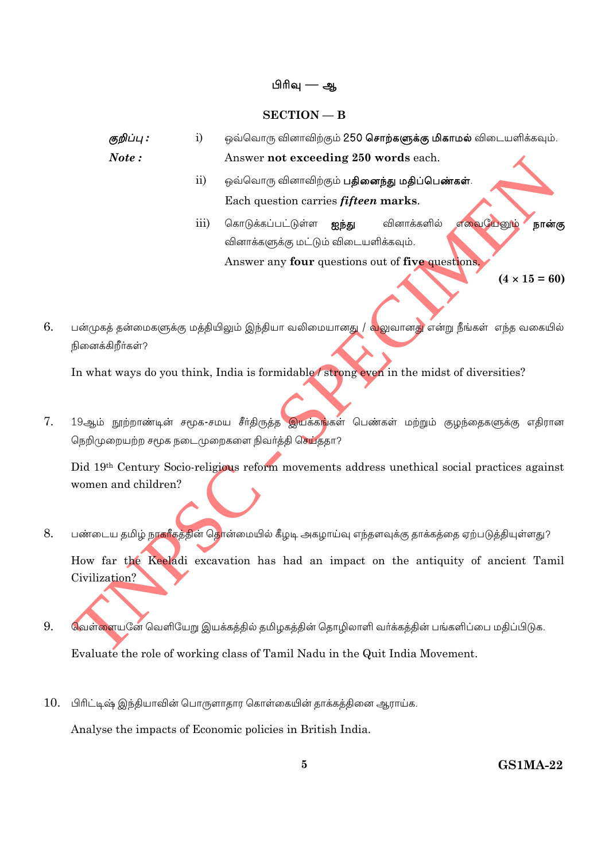#### பிரிவு — ஆ

#### $SECTION - B$

குறிப்பு :  $\mathbf{i}$ ஒவ்வொரு வினாவிற்கும் 250 சொற்களுக்கு மிகாமல் விடையளிக்கவும். Note: Answer not exceeding 250 words each.

- $\overline{11}$ ஒவ்வொரு வினாவிற்கும் **பதினைந்து மதிப்பெண்கள்**. Each question carries *fifteen* marks.
- எவையேனும் கொடுக்கப்பட்டுள்ள **ஐந்து** iii) வினாக்களில் நான்கு வினாக்களுக்கு மட்டும் விடையளிக்கவும். Answer any four questions out of five questions.

 $(4 \times 15 = 60)$ 

6. பன்முகத் தன்மைகளுக்கு மத்தியிலும் இந்தியா வலிமையானது / <mark>வ</mark>லுவானது என்று நீங்கள் எந்த வகையில் நினைக்கிறீர்கள்?

In what ways do you think, India is formidable/strong even in the midst of diversities?

7. 19ஆம் நூற்றாண்டின் சமூக-சமய சீர்திருத்த இயக்கங்கள் பெண்கள் மற்றும் குழந்தைகளுக்கு எதிரான நெறிமுறையற்ற சமூக நடைமுறைகளை நிவர்த்தி செய்ததா?

Did 19th Century Socio-religious reform movements address unethical social practices against women and children?

- 8. பண்டைய தமிழ் ந<mark>ாகரீகத்தின் தொ</mark>ன்மையில் கீழடி அகழாய்வு எந்தளவுக்கு தாக்கத்தை ஏற்படுத்தியுள்ளது? How far the Keeladi excavation has had an impact on the antiquity of ancient Tamil Civilization?
- 9. வெள்ளையனே வெளியேறு இயக்கத்தில் தமிழகத்தின் தொழிலாளி வர்க்கத்தின் பங்களிப்பை மதிப்பிடுக. Evaluate the role of working class of Tamil Nadu in the Quit India Movement.
- பிரிட்டிஷ் இந்தியாவின் பொருளாதார கொள்கையின் தாக்கத்தினை ஆராய்க. 10.

Analyse the impacts of Economic policies in British India.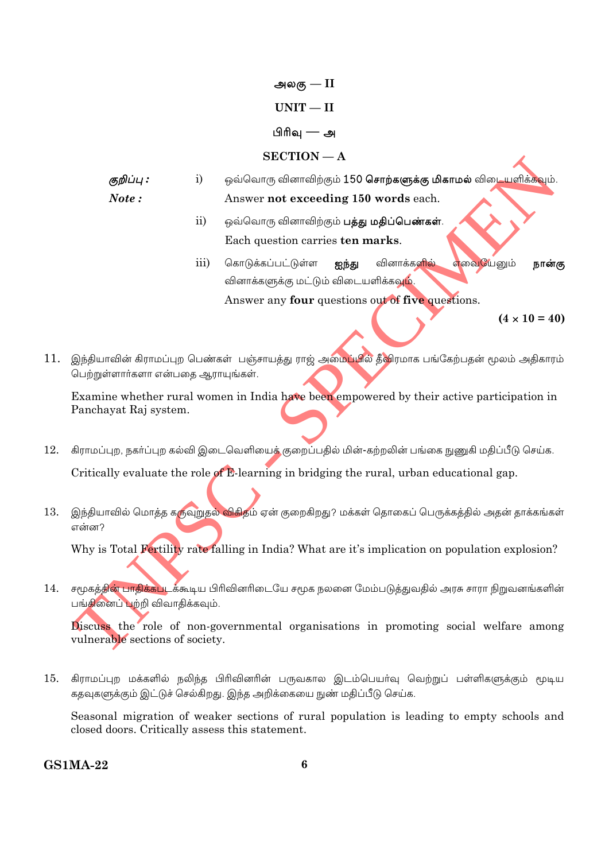அலகு —  $II$ 

## $UNIT - II$

## பிரிவு — அ

## $SECTION - A$

- ஒவ்வொரு வினாவிற்கும் 150 **சொற்களுக்கு மிகாமல்** விடையளிக்கவும். குறிப்பு :  $\mathbf{i}$ Note: Answer not exceeding 150 words each.
	- ஒவ்வொரு வினாவிற்கும் **பத்து மதிப்பெண்கள்**.  $\overline{11}$ Each question carries ten marks.
	- எவையேனும் கொடுக்கப்பட்டுள்ள வினாக்களில் iii) ஐந்து நான்கு வினாக்களுக்கு மட்டும் விடையளிக்கவு<mark>ம்</mark>. Answer any four questions out of five questions.

 $(4 \times 10 = 40)$ 

11. இந்தியாவின் கிராமப்புற பெண்கள் பஞ்சாயத்து ராஜ் அமைப்பில் தீவிரமாக பங்கேற்பதன் மூலம் அதிகாரம் பெற்றுள்ளார்களா என்பதை ஆராயுங்கள்.

Examine whether rural women in India have been empowered by their active participation in Panchayat Raj system.

- 12. கிராமப்புற, நகர்ப்புற கல்வி இடைவெளியைக் குறைப்பதில் மின்-கற்றலின் பங்கை நுணுகி மதிப்பீடு செய்க. Critically evaluate the role of E-learning in bridging the rural, urban educational gap.
- இந்தியாவில் மொத்த கருவுறுதல் <mark>விகித</mark>ம் ஏன் குறைகிறது? மக்கள் தொகைப் பெருக்கத்தில் அதன் தாக்கங்கள் 13. என்ன?

Why is Total Fertility rate falling in India? What are it's implication on population explosion?

14. சமூகத்தின் பாதிக்கபடக்கூடிய பிரிவினரிடையே சமூக நலனை மேம்படுத்துவதில் அரசு சாரா நிறுவனங்களின் பங்கினைப் பற்றி விவாதிக்கவும்.

Discuss the role of non-governmental organisations in promoting social welfare among vulnerable sections of society.

 $15.$ கிராமப்புற மக்களில் நலிந்த பிரிவினரின் பருவகால இடம்பெயர்வு வெற்றுப் பள்ளிகளுக்கும் மூடிய கதவுகளுக்கும் இட்டுச் செல்கிறது. இந்த அறிக்கையை நுண் மதிப்பீடு செய்க.

Seasonal migration of weaker sections of rural population is leading to empty schools and closed doors. Critically assess this statement.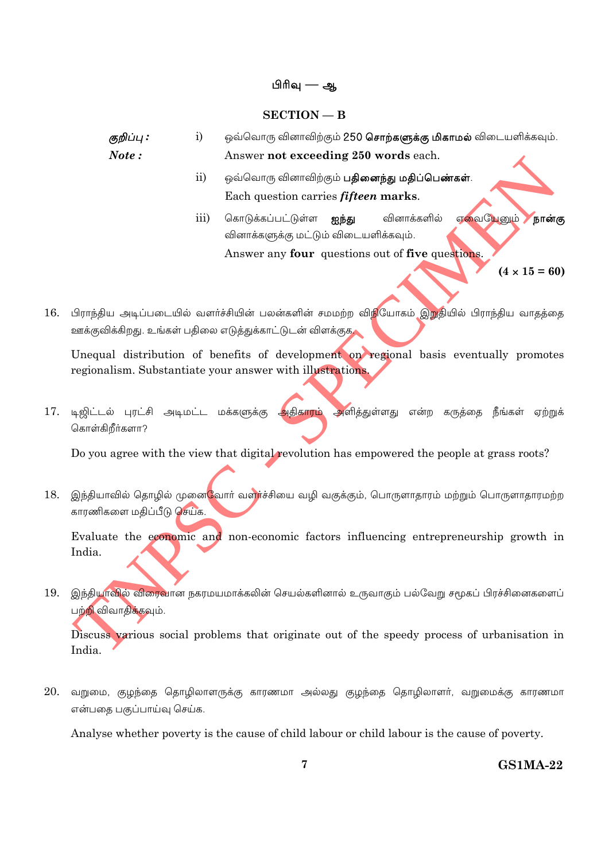#### பிரிவு — ஆ

#### $SECTION - B$

குறிப்பு :  $i)$ ஒவ்வொரு வினாவிற்கும் 250 சொற்களுக்கு மிகாமல் விடையளிக்கவும்.  $Note:$ Answer not exceeding 250 words each.

- ஒவ்வொரு வினாவிற்கும் **பதினைந்து மதிப்பெண்கள்**.  $\mathbf{ii}$ Each question carries *fifteen* marks.
- எவையேனும் கொடுக்கப்பட்டுள்ள **ஐந்து** வினாக்களில்  $\overline{iii}$ நான்கு வினாக்களுக்கு மட்டும் விடையளிக்கவும். Answer any four questions out of five questions.

 $(4 \times 15 = 60)$ 

பிராந்திய அடிப்படையில் வளர்ச்சியின் பலன்களின் சமமற்ற விநியோகம் இறுதியில் பிராந்திய வாதத்தை 16. ஊக்குவிக்கிறது. உங்கள் பதிலை எடுத்துக்காட்டுடன் விளக்குக

Unequal distribution of benefits of development on regional basis eventually promotes regionalism. Substantiate your answer with illustrations.

17. டிஜிட்டல் புரட்சி அடிமட்ட மக்களுக்கு அதிகாரம் அளித்துள்ளது என்ற கருத்தை நீங்கள் ஏற்றுக் கொள்கிறீர்களா?

Do you agree with the view that digital revolution has empowered the people at grass roots?

18. இந்தியாவில் தொழில் முனை<mark>வோர் வள</mark>ர்ச்சியை வழி வகுக்கும், பொருளாதாரம் மற்றும் பொருளாதாரமற்ற காரணிகளை மதிப்பீடு செய்க.

Evaluate the economic and non-economic factors influencing entrepreneurship growth in India.

19. இந்தியாவில் விரைவான நகரமயமாக்கலின் செயல்களினால் உருவாகும் பல்வேறு சமூகப் பிரச்சினைகளைப் பற்<mark>றி</mark> விவாதிக்கவும்.

Discuss various social problems that originate out of the speedy process of urbanisation in India.

20. வறுமை, குழந்தை தொழிலாளருக்கு காரணமா அல்லது குழந்தை தொழிலாளர், வறுமைக்கு காரணமா என்பதை பகுப்பாய்வு செய்க.

Analyse whether poverty is the cause of child labour or child labour is the cause of poverty.

 $\overline{7}$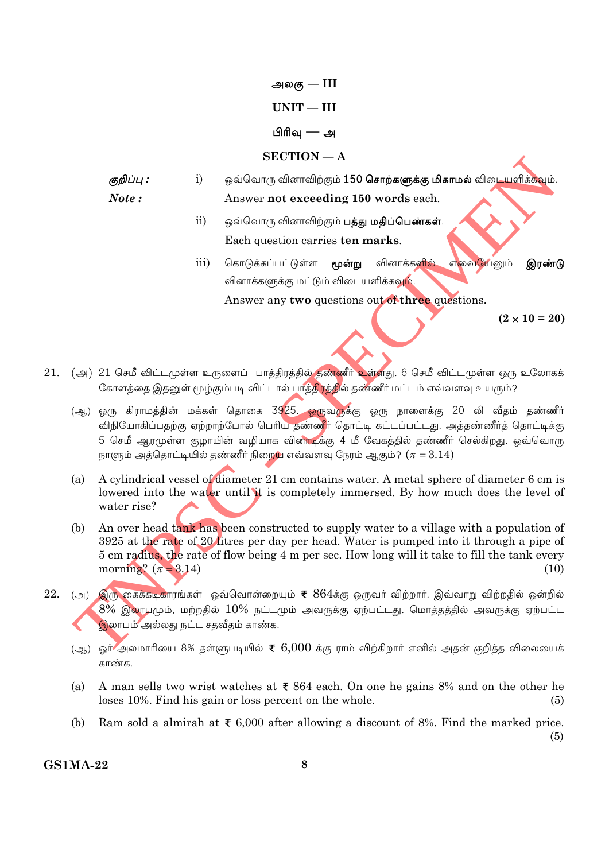அலகு —  $\text{III}$ 

### $UNIT - III$

### பிரிவு — அ

#### $SECTION - A$

- ஒவ்வொரு வினாவிற்கும் 150 **சொற்களுக்கு மிகாமல்** விடையளிக்கவும். குறிப்பு :  $\mathbf{i}$  $Note:$ Answer not exceeding 150 words each.
	- $\mathbf{ii}$ ஒவ்வொரு வினாவிற்கும் **பத்து மதிப்பெண்கள்**. Each question carries ten marks.
	- எவையேனும் iii) கொடுக்கப்பட்டுள்ள **மூன்று** வினாக்க<mark>ளில்</mark> இரண்டு வினாக்களுக்கு மட்டும் விடையளிக்கவும்.

Answer any two questions out of three questions.

 $(2 \times 10 = 20)$ 

- 21. (அ) 21 செமீ விட்டமுள்ள உருளைப் பாத்திரத்தில் தண்ணீர் உள்ளது. 6 செமீ விட்டமுள்ள ஒரு உலோகக் கோளத்தை இதனுள் மூழ்கும்படி விட்டால் பாத்திரத்தில் தண்ணீர் மட்டம் எவ்வளவு உயரும்?
	- (ஆ) ஒரு கிராமத்தின் மக்கள் தொகை 3925. ஒருவருக்கு ஒரு நாளைக்கு 20 லி வீதம் தண்ணீர் விநியோகிப்பதற்கு ஏற்றாற்போல் பெரிய தண்ணீர் தொட்டி கட்டப்பட்டது. அத்தண்ணீர்த் தொட்டிக்கு 5 செமீ ஆரமுள்ள குழாயின் வழியாக வின<mark>ாடிக்கு 4 மீ வேகத்தில் தண்ணீர் செல்கிறது</mark>. ஒவ்வொரு நாளும் அத்தொட்டியில் தண்ணீர் நிறைய எவ்வளவு நேரம் ஆகும்?  $(\pi = 3.14)$
	- $(a)$ A cylindrical vessel of diameter 21 cm contains water. A metal sphere of diameter 6 cm is lowered into the water until it is completely immersed. By how much does the level of water rise?
	- An over head tank has been constructed to supply water to a village with a population of (b) 3925 at the rate of 20 litres per day per head. Water is pumped into it through a pipe of 5 cm radius, the rate of flow being 4 m per sec. How long will it take to fill the tank every morning?  $(\pi = 3.14)$  $(10)$
- ் (அ) இரு கைக்கடிகாரங்கள் ஒவ்வொன்றையும் ₹  $864$ க்கு ஒருவா் விற்றாா். இவ்வாறு விற்றதில் ஒன்றில் 22.  $8\%$  இலாபமும், மற்றதில்  $10\%$  நட்டமும் அவருக்கு ஏற்பட்டது. மொத்தத்தில் அவருக்கு ஏற்பட்ட இலாபம் அல்லது நட்ட சதவீதம் காண்க.
	- (ஆ.) ஒர் அலமாரியை 8% தள்ளுபடியில் ₹  $6,000$  க்கு ராம் விற்கிறார் எனில் அதன் குறித்த விலையைக் காண்க.
	- $(a)$ A man sells two wrist watches at  $\bar{x}$  864 each. On one he gains 8% and on the other he loses 10%. Find his gain or loss percent on the whole.  $(5)$
	- Ram sold a almirah at  $\bar{x}$  6.000 after allowing a discount of 8%. Find the marked price.  $(b)$  $(5)$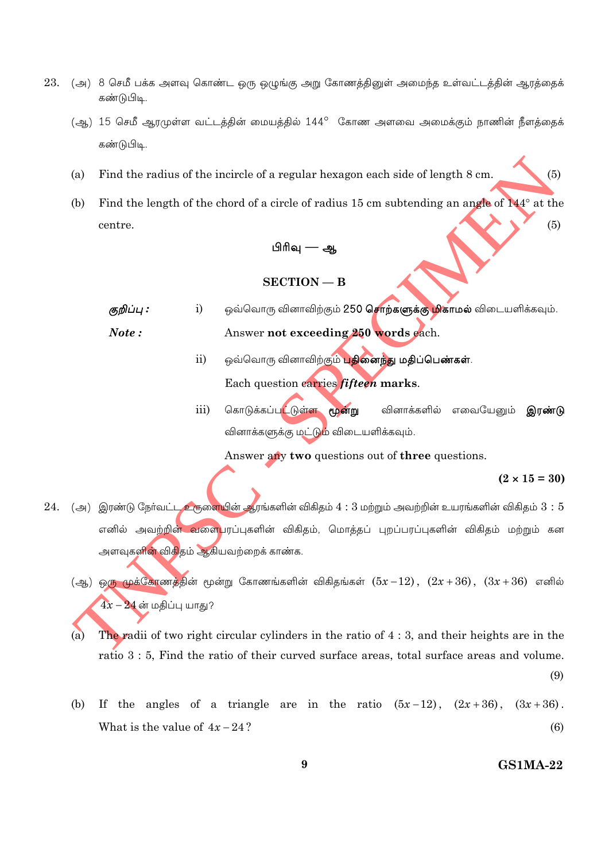- 23. (அ) 8 செமீ பக்க அளவு கொண்ட ஒரு ஒழுங்கு அறு கோணத்தினுள் அமைந்த உள்வட்டத்தின் ஆரத்தைக் கண்டுபிடி.
	- (ஆ) 15 செமீ ஆரமுள்ள வட்டத்தின் மையத்தில் 144° கோண அளவை அமைக்கும் நாணின் நீளத்தைக் கண்டுபிடி.
	- Find the radius of the incircle of a regular hexagon each side of length 8 cm.  $(a)$
	- Find the length of the chord of a circle of radius 15 cm subtending an angle of  $144^{\circ}$  at the (b)  $(5)$ centre.

## பிரிவு — அ

#### $SECTION - B$

- ஒவ்வொரு வினாவிற்கும் **250 சொற்களுக்கு மிகாமல்** விடையளிக்கவும். குறிப்பு :  $\mathbf{i}$ Note: Answer not exceeding 250 words each.
	- $ii)$ ஒவ்வொரு வினாவிற்கும் பதினைந்து மதிப்பெண்கள். Each question carries fifteen marks.
	- கொடுக்கப்ப<mark>ட்டுள்ள மூன்று</mark>  $\overline{\text{iii}}$ வினாக்களில் எவையேமை் **இாண்டு** வினாக்களுக்கு மட்டும் விடையளிக்கவும்.

Answer any two questions out of three questions.

 $(2 \times 15 = 30)$ 

 $(5)$ 

- $24.$   $\,$  (அ) இரண்டு நேர்வட்ட உருளையின் ஆரங்களின் விகிதம்  $4:3$  மற்றும் அவற்றின் உயரங்களின் விகிதம்  $3:5$ எனில் அவற்றின<mark>் வளை</mark>பரப்புகளின் விகிதம், மொத்தப் புறப்பரப்புகளின் விகிதம் மற்றும் கன அளவுகளி<mark>ன்</mark> விகிதம் ஆகியவற்றைக் காண்க.
	- $\left(\frac{3}{2}\right)$  ஒரு முக்கோணத்தின் மூன்று கோணங்களின் விகிதங்கள்  $(5x-12)$ ,  $(2x+36)$ ,  $(3x+36)$  எனில்  $4x-24$  ன் மகிப்பு யாகு?
	- $(a)$ The radii of two right circular cylinders in the ratio of  $4:3$ , and their heights are in the ratio 3 : 5, Find the ratio of their curved surface areas, total surface areas and volume.

If the angles of a triangle are in the ratio  $(5x-12)$ ,  $(2x+36)$ ,  $(3x+36)$ . (b) What is the value of  $4x-24$ ?  $(6)$ 

#### **GS1MA-22**

 $(9)$